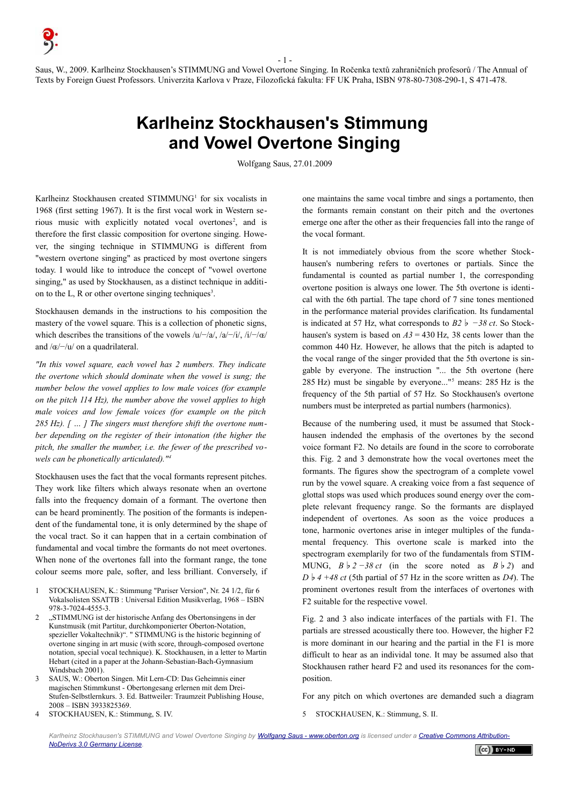- 1 - Saus, W., 2009. Karlheinz Stockhausen's STIMMUNG and Vowel Overtone Singing. In Ročenka textů zahraničních profesorů / The Annual of Texts by Foreign Guest Professors. Univerzita Karlova v Praze, Filozofická fakulta: FF UK Praha, ISBN 978-80-7308-290-1, S 471-478.

## **Karlheinz Stockhausen's Stimmung and Vowel Overtone Singing**

Wolfgang Saus, 27.01.2009

Karlheinz Stockhausen created STIMMUNG<sup>[1](#page-0-0)</sup> for six vocalists in 1968 (first setting 1967). It is the first vocal work in Western se-rious music with explicitly notated vocal overtones<sup>[2](#page-0-1)</sup>, and is therefore the first classic composition for overtone singing. However, the singing technique in STIMMUNG is different from "western overtone singing" as practiced by most overtone singers today. I would like to introduce the concept of "vowel overtone singing," as used by Stockhausen, as a distinct technique in additi-on to the L, R or other overtone singing techniques<sup>[3](#page-0-2)</sup>.

Stockhausen demands in the instructions to his composition the mastery of the vowel square. This is a collection of phonetic signs, which describes the transitions of the vowels  $/u$  –/a/,  $/a$  –/i/,  $/i$  –/ $\alpha$ / and /ɶ/−/u/ on a quadrilateral.

*"In this vowel square, each vowel has 2 numbers. They indicate the overtone which should dominate when the vowel is sung; the number below the vowel applies to low male voices (for example on the pitch 114 Hz), the number above the vowel applies to high male voices and low female voices (for example on the pitch 285 Hz). [ … ] The singers must therefore shift the overtone number depending on the register of their intonation (the higher the pitch, the smaller the mumber, i.e. the fewer of the prescribed vowels can be phonetically articulated)."[4](#page-0-3)*

Stockhausen uses the fact that the vocal formants represent pitches. They work like filters which always resonate when an overtone falls into the frequency domain of a formant. The overtone then can be heard prominently. The position of the formants is independent of the fundamental tone, it is only determined by the shape of the vocal tract. So it can happen that in a certain combination of fundamental and vocal timbre the formants do not meet overtones. When none of the overtones fall into the formant range, the tone colour seems more pale, softer, and less brilliant. Conversely, if

- <span id="page-0-0"></span>1 STOCKHAUSEN, K.: Stimmung "Pariser Version", Nr. 24 1/2, für 6 Vokalsolisten SSATTB : Universal Edition Musikverlag, 1968 – ISBN 978-3-7024-4555-3.
- <span id="page-0-1"></span>"STIMMUNG ist der historische Anfang des Obertonsingens in der Kunstmusik (mit Partitur, durchkomponierter Oberton-Notation, spezieller Vokaltechnik)". " STIMMUNG is the historic beginning of overtone singing in art music (with score, through-composed overtone notation, special vocal technique). K. Stockhausen, in a letter to Martin Hebart (cited in a paper at the Johann-Sebastian-Bach-Gymnasium Windsbach 2001).
- <span id="page-0-2"></span>3 SAUS, W.: Oberton Singen. Mit Lern-CD: Das Geheimnis einer magischen Stimmkunst - Obertongesang erlernen mit dem Drei-Stufen-Selbstlernkurs. 3. Ed. Battweiler: Traumzeit Publishing House, 2008 – ISBN 3933825369.
- <span id="page-0-3"></span>4 STOCKHAUSEN, K.: Stimmung, S. IV.

one maintains the same vocal timbre and sings a portamento, then the formants remain constant on their pitch and the overtones emerge one after the other as their frequencies fall into the range of the vocal formant.

It is not immediately obvious from the score whether Stockhausen's numbering refers to overtones or partials. Since the fundamental is counted as partial number 1, the corresponding overtone position is always one lower. The 5th overtone is identical with the 6th partial. The tape chord of 7 sine tones mentioned in the performance material provides clarification. Its fundamental is indicated at 57 Hz, what corresponds to *B2*♭ *−38 ct*. So Stockhausen's system is based on *A3* = 430 Hz, 38 cents lower than the common 440 Hz. However, he allows that the pitch is adapted to the vocal range of the singer provided that the 5th overtone is singable by everyone. The instruction "... the 5th overtone (here 285 Hz) must be singable by everyone..."[5](#page-0-4) means: 285 Hz is the frequency of the 5th partial of 57 Hz. So Stockhausen's overtone numbers must be interpreted as partial numbers (harmonics).

Because of the numbering used, it must be assumed that Stockhausen indended the emphasis of the overtones by the second voice formant F2. No details are found in the score to corroborate this. Fig. 2 and 3 demonstrate how the vocal overtones meet the formants. The figures show the spectrogram of a complete vowel run by the vowel square. A creaking voice from a fast sequence of glottal stops was used which produces sound energy over the complete relevant frequency range. So the formants are displayed independent of overtones. As soon as the voice produces a tone, harmonic overtones arise in integer multiples of the fundamental frequency. This overtone scale is marked into the spectrogram exemplarily for two of the fundamentals from STIM-MUNG,  $B \mid 2 - 38 \text{ ct}$  (in the score noted as  $B \mid 2$ ) and  $D \mid 4 + 48$  ct (5th partial of 57 Hz in the score written as *D4*). The prominent overtones result from the interfaces of overtones with F2 suitable for the respective vowel.

Fig. 2 and 3 also indicate interfaces of the partials with F1. The partials are stressed acoustically there too. However, the higher F2 is more dominant in our hearing and the partial in the F1 is more difficult to hear as an individal tone. It may be assumed also that Stockhausen rather heard F2 and used its resonances for the composition.

For any pitch on which overtones are demanded such a diagram

<span id="page-0-4"></span>5 STOCKHAUSEN, K.: Stimmung, S. II.

Karlheinz Stockhausen's STIMMUNG and Vowel Overtone Singing by [Wolfgang Saus - www.oberton.org](http://www.oberton.org/) is licensed under a [Creative Commons Attribution-](http://creativecommons.org/licenses/by-nd/3.0/de/)*[NoDerivs 3.0 Germany License.](http://creativecommons.org/licenses/by-nd/3.0/de/)*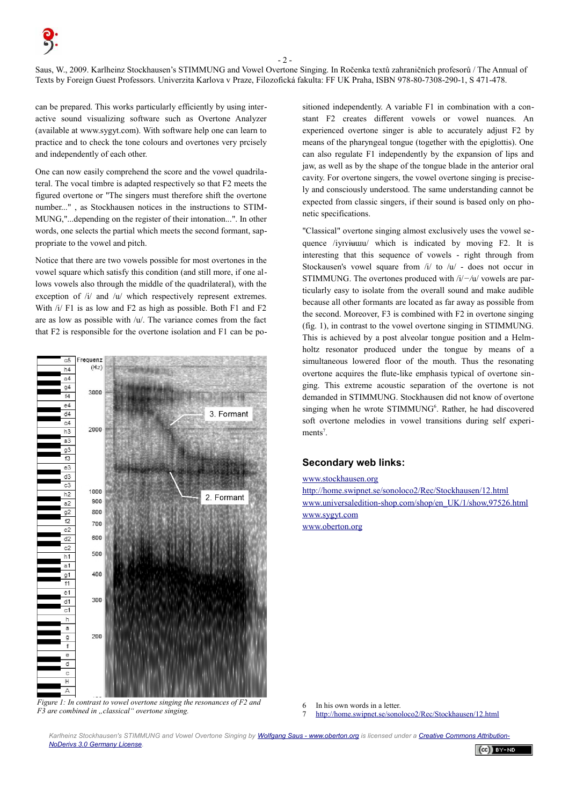$-2 -$ 

Saus, W., 2009. Karlheinz Stockhausen's STIMMUNG and Vowel Overtone Singing. In Ročenka textů zahraničních profesorů / The Annual of Texts by Foreign Guest Professors. Univerzita Karlova v Praze, Filozofická fakulta: FF UK Praha, ISBN 978-80-7308-290-1, S 471-478.

can be prepared. This works particularly efficiently by using interactive sound visualizing software such as Overtone Analyzer (available at www.sygyt.com). With software help one can learn to practice and to check the tone colours and overtones very prcisely and independently of each other.

One can now easily comprehend the score and the vowel quadrilateral. The vocal timbre is adapted respectively so that F2 meets the figured overtone or "The singers must therefore shift the overtone number..." , as Stockhausen notices in the instructions to STIM-MUNG,"...depending on the register of their intonation...". In other words, one selects the partial which meets the second formant, sappropriate to the vowel and pitch.

Notice that there are two vowels possible for most overtones in the vowel square which satisfy this condition (and still more, if one allows vowels also through the middle of the quadrilateral), with the exception of /i/ and /u/ which respectively represent extremes. With  $/i$  F1 is as low and F2 as high as possible. Both F1 and F2 are as low as possible with /u/. The variance comes from the fact that F2 is responsible for the overtone isolation and F1 can be po-



*Figure 1: In contrast to vowel overtone singing the resonances of F2 and F3 are combined in "classical" overtone singing.*

sitioned independently. A variable F1 in combination with a constant F2 creates different vowels or vowel nuances. An experienced overtone singer is able to accurately adjust F2 by means of the pharyngeal tongue (together with the epiglottis). One can also regulate F1 independently by the expansion of lips and jaw, as well as by the shape of the tongue blade in the anterior oral cavity. For overtone singers, the vowel overtone singing is precisely and consciously understood. The same understanding cannot be expected from classic singers, if their sound is based only on phonetic specifications.

"Classical" overtone singing almost exclusively uses the vowel sequence /iyɪyiʉɯu/ which is indicated by moving F2. It is interesting that this sequence of vowels - right through from Stockausen's vowel square from /i/ to /u/ - does not occur in STIMMUNG. The overtones produced with /i/*−/*u/ vowels are particularly easy to isolate from the overall sound and make audible because all other formants are located as far away as possible from the second. Moreover, F3 is combined with F2 in overtone singing (fig. 1), in contrast to the vowel overtone singing in STIMMUNG. This is achieved by a post alveolar tongue position and a Helmholtz resonator produced under the tongue by means of a simultaneous lowered floor of the mouth. Thus the resonating overtone acquires the flute-like emphasis typical of overtone singing. This extreme acoustic separation of the overtone is not demanded in STIMMUNG. Stockhausen did not know of overtone singing when he wrote STIMMUNG<sup>[6](#page-1-0)</sup>. Rather, he had discovered soft overtone melodies in vowel transitions during self experi-ments<sup>[7](#page-1-1)</sup>.

## **Secondary web links:**

[www.stockhausen.org](http://www.stockhausen.org/)

<http://home.swipnet.se/sonoloco2/Rec/Stockhausen/12.html> [www.universaledition-shop.com/shop/en\\_UK/1/show,97526.html](http://www.universaledition-shop.com/shop/en_UK/1/show,97526.html) [www.sygyt.com](http://www.sygyt.com/) [www.oberton.org](http://www.oberton.org/)

<span id="page-1-0"></span>6 In his own words in a letter.<br>7  $\frac{http://home swinner se/sono}{http://home swinner se/sono}$ 

<span id="page-1-1"></span>7 <http://home.swipnet.se/sonoloco2/Rec/Stockhausen/12.html>

Karlheinz Stockhausen's STIMMUNG and Vowel Overtone Singing by [Wolfgang Saus - www.oberton.org](http://www.oberton.org/) is licensed under a [Creative Commons Attribution-](http://creativecommons.org/licenses/by-nd/3.0/de/)*[NoDerivs 3.0 Germany License.](http://creativecommons.org/licenses/by-nd/3.0/de/)*   $(cc)$  BY-ND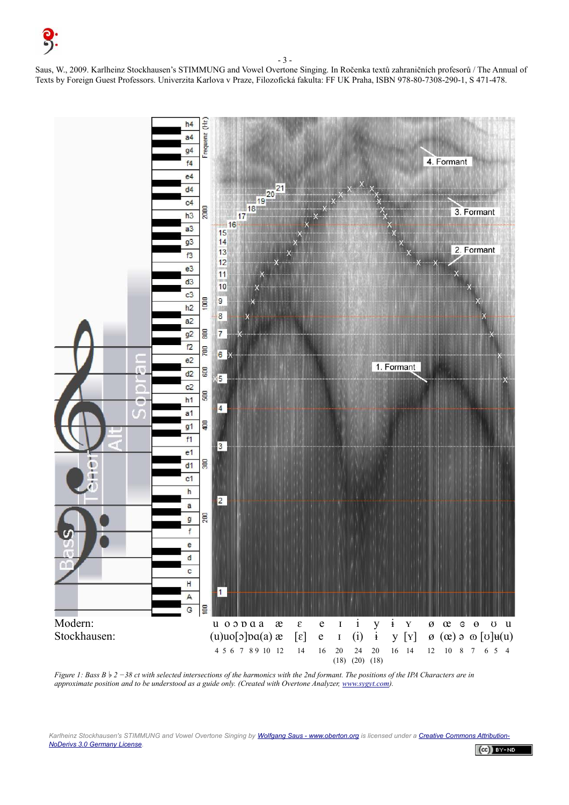- 3 -

Saus, W., 2009. Karlheinz Stockhausen's STIMMUNG and Vowel Overtone Singing. In Ročenka textů zahraničních profesorů / The Annual of Texts by Foreign Guest Professors. Univerzita Karlova v Praze, Filozofická fakulta: FF UK Praha, ISBN 978-80-7308-290-1, S 471-478.



*Figure 1: Bass B*  $\frac{1}{2}$  −38 ct with selected intersections of the harmonics with the 2nd formant. The positions of the IPA Characters are in *approximate position and to be understood as a guide only. (Created with Overtone Analyzer, [www.sygyt.com\)](http://www.sygyt.com/).*

Karlheinz Stockhausen's STIMMUNG and Vowel Overtone Singing by [Wolfgang Saus - www.oberton.org](http://www.oberton.org/) is licensed under a [Creative Commons Attribution-](http://creativecommons.org/licenses/by-nd/3.0/de/)*[NoDerivs 3.0 Germany License.](http://creativecommons.org/licenses/by-nd/3.0/de/)*   $(cc)$  BY-ND